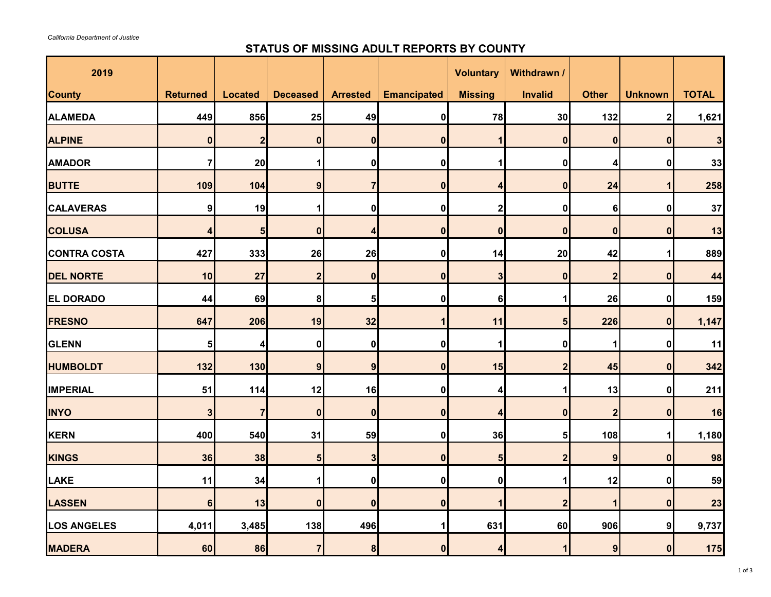## **STATUS OF MISSING ADULT REPORTS BY COUNTY**

| 2019                |                 |                |                  |                 |                    | <b>Voluntary</b>        | Withdrawn /             |                  |                  |                 |
|---------------------|-----------------|----------------|------------------|-----------------|--------------------|-------------------------|-------------------------|------------------|------------------|-----------------|
| <b>County</b>       | <b>Returned</b> | <b>Located</b> | <b>Deceased</b>  | <b>Arrested</b> | <b>Emancipated</b> | <b>Missing</b>          | <b>Invalid</b>          | <b>Other</b>     | <b>Unknown</b>   | <b>TOTAL</b>    |
| <b>ALAMEDA</b>      | 449             | 856            | 25               | 49              | $\mathbf 0$        | 78                      | 30                      | $132$            | $\boldsymbol{2}$ | 1,621           |
| <b>ALPINE</b>       | 0               | $\overline{2}$ | $\boldsymbol{0}$ | 0               | 0                  |                         | $\bf{0}$                | $\boldsymbol{0}$ | 0                | 3               |
| <b>AMADOR</b>       |                 | 20             |                  | 0               | $\mathbf 0$        |                         | 0                       | 4                | 0                | 33              |
| <b>BUTTE</b>        | 109             | 104            | 9 <sub>l</sub>   | 7               | $\bf{0}$           | 4                       | $\bf{0}$                | 24               |                  | 258             |
| <b>CALAVERAS</b>    | 9               | 19             |                  | 0               | 0                  | $\mathbf 2$             | 0                       | 6                | 0                | $37$            |
| <b>COLUSA</b>       | 4               | 5 <sub>l</sub> | $\boldsymbol{0}$ | 4               | $\boldsymbol{0}$   | $\boldsymbol{0}$        | $\boldsymbol{0}$        | $\boldsymbol{0}$ | $\boldsymbol{0}$ | 13              |
| <b>CONTRA COSTA</b> | 427             | 333            | 26               | 26              | 0                  | 14                      | 20                      | 42               |                  | 889             |
| <b>DEL NORTE</b>    | 10              | 27             | $2\vert$         | 0               | 0                  | $\overline{\mathbf{3}}$ | $\boldsymbol{0}$        | $\overline{2}$   | $\boldsymbol{0}$ | 44              |
| <b>EL DORADO</b>    | 44              | 69             | $\boldsymbol{8}$ | 5 <sub>l</sub>  | $\boldsymbol{0}$   | $6\phantom{1}$          |                         | 26               | 0                | 159             |
| <b>FRESNO</b>       | 647             | 206            | 19               | 32              |                    | 11                      |                         | 226              | 0                | 1,147           |
| <b>GLENN</b>        | 5 <sub>l</sub>  | 4              | 0                | 0               | 0                  | 1                       | 0                       | 1                | 0                | 11              |
| <b>HUMBOLDT</b>     | 132             | 130            | 9 <sub>l</sub>   | 9               | $\bf{0}$           | 15                      | 2                       | 45               | $\boldsymbol{0}$ | 342             |
| <b>IMPERIAL</b>     | 51              | 114            | 12               | 16              | $\bf{0}$           | 4                       |                         | 13               | $\mathbf 0$      | 211             |
| <b>INYO</b>         | 3 <sup>l</sup>  | 7 <sup>1</sup> | $\overline{0}$   | $\overline{0}$  | $\mathbf{0}$       | 4                       | $\Omega$                | 2 <sub>l</sub>   | $\mathbf{0}$     | 16 <sup>1</sup> |
| KERN                | 400             | 540            | 31               | 59              | $\mathbf 0$        | 36                      | 5                       | 108              |                  | 1,180           |
| KINGS               | 36              | 38             | 5 <sub>1</sub>   | 3               | $\bf{0}$           | 5 <sub>l</sub>          | $\overline{\mathbf{2}}$ | 9                | $\boldsymbol{0}$ | 98              |
| <b>LAKE</b>         | 11              | 34             |                  | 0               | 0                  | $\mathbf 0$             |                         | 12               | 0                | 59              |
| <b>LASSEN</b>       | 6               | 13             | $\boldsymbol{0}$ | 0               | $\boldsymbol{0}$   | 1                       | $\overline{2}$          | 1                | $\boldsymbol{0}$ | 23              |
| <b>LOS ANGELES</b>  | 4,011           | 3,485          | 138              | 496             |                    | 631                     | 60                      | 906              | 9                | 9,737           |
| <b>MADERA</b>       | 60              | 86             | 7                | 8               | $\boldsymbol{0}$   | 4                       |                         | 9                | $\boldsymbol{0}$ | $175$           |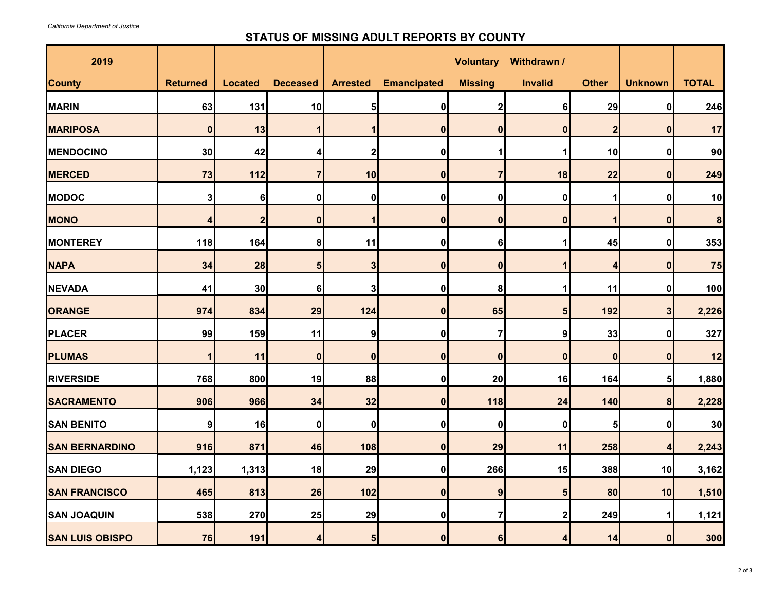## **STATUS OF MISSING ADULT REPORTS BY COUNTY**

| 2019                   |                 |                |                  |                  |                    | <b>Voluntary</b> | Withdrawn /      |                  |                  |                  |
|------------------------|-----------------|----------------|------------------|------------------|--------------------|------------------|------------------|------------------|------------------|------------------|
| <b>County</b>          | <b>Returned</b> | <b>Located</b> | <b>Deceased</b>  | <b>Arrested</b>  | <b>Emancipated</b> | <b>Missing</b>   | Invalid          | <b>Other</b>     | <b>Unknown</b>   | <b>TOTAL</b>     |
| <b>MARIN</b>           | 63              | 131            | 10               | 5                | 0                  | $\mathbf 2$      | 6                | 29               | 0                | 246              |
| <b>MARIPOSA</b>        | 0               | 13             |                  |                  | 0                  | 0                | 0                | $\boldsymbol{2}$ | 0                | 17               |
| <b>MENDOCINO</b>       | 30              | 42             |                  | $\mathbf{2}$     | 0                  |                  |                  | 10               | 0                | 90               |
| <b>MERCED</b>          | 73              | $112$          |                  | 10               | $\bf{0}$           | $\overline{7}$   | 18               | 22               | 0                | 249              |
| <b>MODOC</b>           | 3               | 6 <sup>1</sup> | 0                | $\boldsymbol{0}$ | 0                  | 0                | 0                |                  | 0                | 10               |
| <b>MONO</b>            |                 | $\overline{2}$ | $\boldsymbol{0}$ |                  | 0                  | 0                | 0                |                  | $\bf{0}$         | $\boldsymbol{8}$ |
| <b>MONTEREY</b>        | 118             | 164            | 8                | 11               | 0                  | 6 <sup>1</sup>   |                  | 45               | 0                | 353              |
| <b>NAPA</b>            | 34              | 28             | 5 <sub>l</sub>   | 3                | $\bf{0}$           | 0                |                  | $\epsilon$       | $\bf{0}$         | 75               |
| <b>NEVADA</b>          | 41              | 30             | 6                | 3                | 0                  | 8 <sup>1</sup>   |                  | 11               | 0                | 100              |
| <b>ORANGE</b>          | 974             | 834            | 29               | 124              | 0                  | 65               | 5                | 192              | $\mathbf{3}$     | 2,226            |
| <b>PLACER</b>          | 99              | 159            | 11               | 9                | 0                  | $\mathbf{7}$     | 9                | 33               | $\boldsymbol{0}$ | 327              |
| <b>PLUMAS</b>          |                 | 11             | 0                | $\mathbf{0}$     | 0                  | $\mathbf{0}$     | $\bf{0}$         | $\boldsymbol{0}$ | $\boldsymbol{0}$ | 12               |
| <b>RIVERSIDE</b>       | 768             | 800            | 19               | 88               | 0                  | 20               | 16               | 164              | $5\vert$         | 1,880            |
| <b>SACRAMENTO</b>      | 906             | 966            | 34               | 32               | $\Omega$           | 118              | 24               | 140              | 8                | 2,228            |
| <b>SAN BENITO</b>      | 9               | 16             | 0                | $\boldsymbol{0}$ | 0                  | 0                | $\boldsymbol{0}$ | 5                | 0                | 30               |
| <b>SAN BERNARDINO</b>  | 916             | 871            | 46               | 108              | $\mathbf{0}$       | 29               | 11               | 258              | 4                | 2,243            |
| <b>SAN DIEGO</b>       | 1,123           | 1,313          | 18               | 29               | 0                  | 266              | 15               | 388              | 10               | 3,162            |
| <b>SAN FRANCISCO</b>   | 465             | 813            | 26               | 102              | 0                  | 9                | 5                | 80               | 10               | 1,510            |
| <b>SAN JOAQUIN</b>     | 538             | 270            | 25               | 29               | 0                  | $\mathbf{7}$     |                  | 249              |                  | 1,121            |
| <b>SAN LUIS OBISPO</b> | 76              | 191            | 4                | $5\overline{)}$  | 0                  | 6                |                  | 14               | $\boldsymbol{0}$ | 300              |